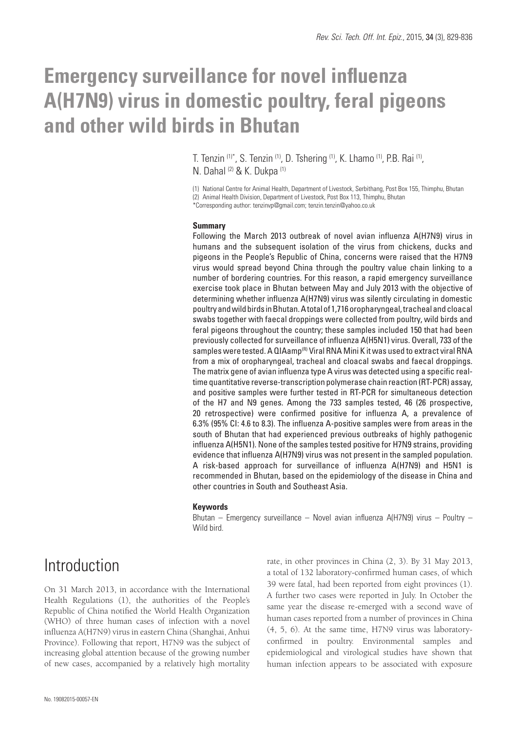# **Emergency surveillance for novel influenza A(H7N9) virus in domestic poultry, feral pigeons and other wild birds in Bhutan**

T. Tenzin (1)\*, S. Tenzin (1), D. Tshering (1), K. Lhamo (1), P.B. Rai (1), N. Dahal (2) & K. Dukpa (1)

(1) National Centre for Animal Health, Department of Livestock, Serbithang, Post Box 155, Thimphu, Bhutan (2) Animal Health Division, Department of Livestock, Post Box 113, Thimphu, Bhutan \*Corresponding author: tenzinvp@gmail.com; tenzin.tenzin@yahoo.co.uk

#### **Summary**

Following the March 2013 outbreak of novel avian influenza A(H7N9) virus in humans and the subsequent isolation of the virus from chickens, ducks and pigeons in the People's Republic of China, concerns were raised that the H7N9 virus would spread beyond China through the poultry value chain linking to a number of bordering countries. For this reason, a rapid emergency surveillance exercise took place in Bhutan between May and July 2013 with the objective of determining whether influenza A(H7N9) virus was silently circulating in domestic poultry and wild birds in Bhutan. A total of 1,716 oropharyngeal, tracheal and cloacal swabs together with faecal droppings were collected from poultry, wild birds and feral pigeons throughout the country; these samples included 150 that had been previously collected for surveillance of influenza A(H5N1) virus. Overall, 733 of the samples were tested. A QIAamp<sup>(R)</sup> Viral RNA Mini K it was used to extract viral RNA from a mix of oropharyngeal, tracheal and cloacal swabs and faecal droppings. The matrix gene of avian influenza type A virus was detected using a specific realtime quantitative reverse-transcription polymerase chain reaction (RT-PCR) assay, and positive samples were further tested in RT-PCR for simultaneous detection of the H7 and N9 genes. Among the 733 samples tested, 46 (26 prospective, 20 retrospective) were confirmed positive for influenza A, a prevalence of 6.3% (95% CI: 4.6 to 8.3). The influenza A-positive samples were from areas in the south of Bhutan that had experienced previous outbreaks of highly pathogenic influenza A(H5N1). None of the samples tested positive for H7N9 strains, providing evidence that influenza A(H7N9) virus was not present in the sampled population. A risk-based approach for surveillance of influenza A(H7N9) and H5N1 is recommended in Bhutan, based on the epidemiology of the disease in China and other countries in South and Southeast Asia.

#### **Keywords**

Bhutan – Emergency surveillance – Novel avian influenza A(H7N9) virus – Poultry – Wild bird.

### Introduction

On 31 March 2013, in accordance with the International Health Regulations (1), the authorities of the People's Republic of China notified the World Health Organization (WHO) of three human cases of infection with a novel influenza A(H7N9) virus in eastern China (Shanghai, Anhui Province). Following that report, H7N9 was the subject of increasing global attention because of the growing number of new cases, accompanied by a relatively high mortality

rate, in other provinces in China (2, 3). By 31 May 2013, a total of 132 laboratory-confirmed human cases, of which 39 were fatal, had been reported from eight provinces (1). A further two cases were reported in July. In October the same year the disease re-emerged with a second wave of human cases reported from a number of provinces in China (4, 5, 6). At the same time, H7N9 virus was laboratoryconfirmed in poultry. Environmental samples and epidemiological and virological studies have shown that human infection appears to be associated with exposure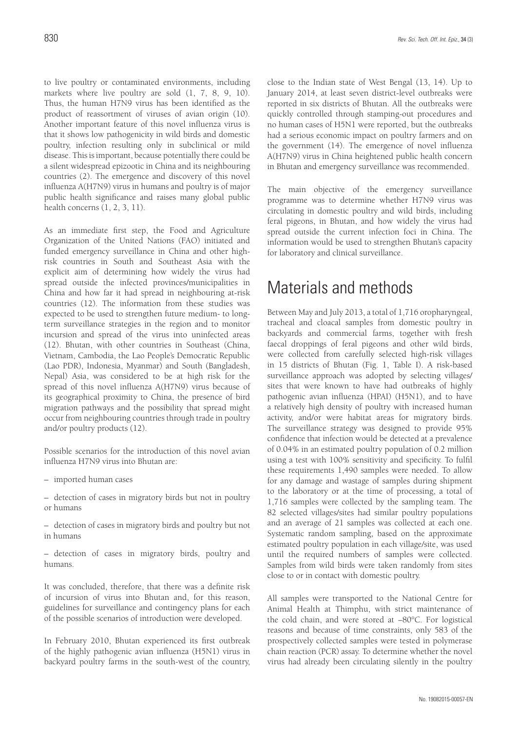to live poultry or contaminated environments, including markets where live poultry are sold (1, 7, 8, 9, 10). Thus, the human H7N9 virus has been identified as the product of reassortment of viruses of avian origin (10). Another important feature of this novel influenza virus is that it shows low pathogenicity in wild birds and domestic poultry, infection resulting only in subclinical or mild disease. This is important, because potentially there could be a silent widespread epizootic in China and its neighbouring countries (2). The emergence and discovery of this novel influenza A(H7N9) virus in humans and poultry is of major public health significance and raises many global public health concerns (1, 2, 3, 11).

As an immediate first step, the Food and Agriculture Organization of the United Nations (FAO) initiated and funded emergency surveillance in China and other highrisk countries in South and Southeast Asia with the explicit aim of determining how widely the virus had spread outside the infected provinces/municipalities in China and how far it had spread in neighbouring at-risk countries (12). The information from these studies was expected to be used to strengthen future medium- to longterm surveillance strategies in the region and to monitor incursion and spread of the virus into uninfected areas (12). Bhutan, with other countries in Southeast (China, Vietnam, Cambodia, the Lao People's Democratic Republic (Lao PDR), Indonesia, Myanmar) and South (Bangladesh, Nepal) Asia, was considered to be at high risk for the spread of this novel influenza A(H7N9) virus because of its geographical proximity to China, the presence of bird migration pathways and the possibility that spread might occur from neighbouring countries through trade in poultry and/or poultry products (12).

Possible scenarios for the introduction of this novel avian influenza H7N9 virus into Bhutan are:

– imported human cases

– detection of cases in migratory birds but not in poultry or humans

– detection of cases in migratory birds and poultry but not in humans

– detection of cases in migratory birds, poultry and humans.

It was concluded, therefore, that there was a definite risk of incursion of virus into Bhutan and, for this reason, guidelines for surveillance and contingency plans for each of the possible scenarios of introduction were developed.

In February 2010, Bhutan experienced its first outbreak of the highly pathogenic avian influenza (H5N1) virus in backyard poultry farms in the south-west of the country, close to the Indian state of West Bengal (13, 14). Up to January 2014, at least seven district-level outbreaks were reported in six districts of Bhutan. All the outbreaks were quickly controlled through stamping-out procedures and no human cases of H5N1 were reported, but the outbreaks had a serious economic impact on poultry farmers and on the government (14). The emergence of novel influenza A(H7N9) virus in China heightened public health concern in Bhutan and emergency surveillance was recommended.

The main objective of the emergency surveillance programme was to determine whether H7N9 virus was circulating in domestic poultry and wild birds, including feral pigeons, in Bhutan, and how widely the virus had spread outside the current infection foci in China. The information would be used to strengthen Bhutan's capacity for laboratory and clinical surveillance.

# Materials and methods

Between May and July 2013, a total of 1,716 oropharyngeal, tracheal and cloacal samples from domestic poultry in backyards and commercial farms, together with fresh faecal droppings of feral pigeons and other wild birds, were collected from carefully selected high-risk villages in 15 districts of Bhutan (Fig. 1, Table I). A risk-based surveillance approach was adopted by selecting villages/ sites that were known to have had outbreaks of highly pathogenic avian influenza (HPAI) (H5N1), and to have a relatively high density of poultry with increased human activity, and/or were habitat areas for migratory birds. The surveillance strategy was designed to provide 95% confidence that infection would be detected at a prevalence of 0.04% in an estimated poultry population of 0.2 million using a test with 100% sensitivity and specificity. To fulfil these requirements 1,490 samples were needed. To allow for any damage and wastage of samples during shipment to the laboratory or at the time of processing, a total of 1,716 samples were collected by the sampling team. The 82 selected villages/sites had similar poultry populations and an average of 21 samples was collected at each one. Systematic random sampling, based on the approximate estimated poultry population in each village/site, was used until the required numbers of samples were collected. Samples from wild birds were taken randomly from sites close to or in contact with domestic poultry.

All samples were transported to the National Centre for Animal Health at Thimphu, with strict maintenance of the cold chain, and were stored at −80°C. For logistical reasons and because of time constraints, only 583 of the prospectively collected samples were tested in polymerase chain reaction (PCR) assay. To determine whether the novel virus had already been circulating silently in the poultry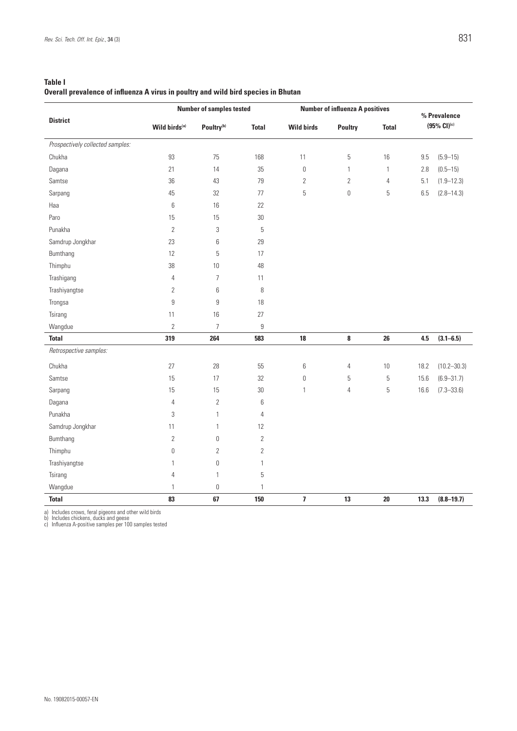| <b>Table I</b>                                                                            |  |
|-------------------------------------------------------------------------------------------|--|
| <b>Overall prevalence of influenza A virus in poultry and wild bird species in Bhutan</b> |  |

|                                  | <b>Number of samples tested</b> |                        |                | <b>Number of influenza A positives</b> |                |                | % Prevalence |                 |
|----------------------------------|---------------------------------|------------------------|----------------|----------------------------------------|----------------|----------------|--------------|-----------------|
| <b>District</b>                  | Wild birds <sup>(a)</sup>       | Poultry <sup>(b)</sup> | <b>Total</b>   | <b>Wild birds</b>                      | <b>Poultry</b> | <b>Total</b>   | (95% CI)(c)  |                 |
| Prospectively collected samples: |                                 |                        |                |                                        |                |                |              |                 |
| Chukha                           | 93                              | 75                     | 168            | 11                                     | 5              | $16\,$         | 9.5          | $(5.9 - 15)$    |
| Dagana                           | 21                              | 14                     | 35             | $\mathbf 0$                            | $\mathbf{1}$   | $\mathbf{1}$   | 2.8          | $(0.5 - 15)$    |
| Samtse                           | 36                              | 43                     | 79             | $\overline{2}$                         | $\overline{2}$ | $\overline{4}$ | 5.1          | $(1.9 - 12.3)$  |
| Sarpang                          | 45                              | 32                     | 77             | 5                                      | 0              | 5              | 6.5          | $(2.8 - 14.3)$  |
| Haa                              | $\,6\,$                         | 16                     | 22             |                                        |                |                |              |                 |
| Paro                             | 15                              | 15                     | 30             |                                        |                |                |              |                 |
| Punakha                          | $\overline{2}$                  | 3                      | 5              |                                        |                |                |              |                 |
| Samdrup Jongkhar                 | 23                              | 6                      | 29             |                                        |                |                |              |                 |
| Bumthang                         | 12                              | 5                      | 17             |                                        |                |                |              |                 |
| Thimphu                          | 38                              | $10$                   | 48             |                                        |                |                |              |                 |
| Trashigang                       | 4                               | $\overline{7}$         | 11             |                                        |                |                |              |                 |
| Trashiyangtse                    | $\overline{2}$                  | 6                      | $\, 8$         |                                        |                |                |              |                 |
| Trongsa                          | 9                               | $\mathsf g$            | 18             |                                        |                |                |              |                 |
| Tsirang                          | 11                              | 16                     | 27             |                                        |                |                |              |                 |
| Wangdue                          | $\overline{2}$                  | $\overline{7}$         | 9              |                                        |                |                |              |                 |
| <b>Total</b>                     | 319                             | 264                    | 583            | 18                                     | 8              | 26             | 4.5          | $(3.1 - 6.5)$   |
| Retrospective samples:           |                                 |                        |                |                                        |                |                |              |                 |
| Chukha                           | 27                              | 28                     | 55             | 6                                      | $\overline{4}$ | $10$           | 18.2         | $(10.2 - 30.3)$ |
| Samtse                           | 15                              | 17                     | 32             | $\mathbf 0$                            | 5              | $\mathbf 5$    | 15.6         | $(6.9 - 31.7)$  |
| Sarpang                          | 15                              | 15                     | $30\,$         | $\mathbf{1}$                           | $\overline{4}$ | 5              | 16.6         | $(7.3 - 33.6)$  |
| Dagana                           | 4                               | $\overline{2}$         | 6              |                                        |                |                |              |                 |
| Punakha                          | 3                               | $\mathbf{1}$           | $\overline{4}$ |                                        |                |                |              |                 |
| Samdrup Jongkhar                 | 11                              | $\mathbf{1}$           | 12             |                                        |                |                |              |                 |
| Bumthang                         | $\overline{2}$                  | $\mathbb O$            | $\overline{2}$ |                                        |                |                |              |                 |
| Thimphu                          | $\mathbb O$                     | $\overline{2}$         | $\overline{2}$ |                                        |                |                |              |                 |
| Trashiyangtse                    | 1                               | $\mathbb O$            | $\mathbf{1}$   |                                        |                |                |              |                 |
| Tsirang                          | 4                               | $\mathbf{1}$           | 5              |                                        |                |                |              |                 |
| Wangdue                          | 1                               | $\mathbb O$            | $\mathbf{1}$   |                                        |                |                |              |                 |
| <b>Total</b>                     | 83                              | 67                     | 150            | $\bf 7$                                | 13             | ${\bf 20}$     | 13.3         | $(8.8 - 19.7)$  |

a) Includes crows, feral pigeons and other wild birds b) Includes chickens, ducks and geese c) Influenza A-positive samples per 100 samples tested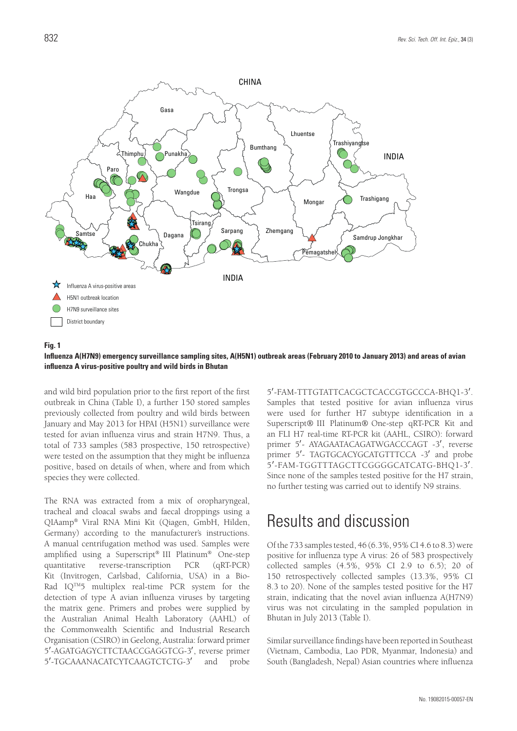

#### **Fig. 1**

**Influenza A(H7N9) emergency surveillance sampling sites, A(H5N1) outbreak areas (February 2010 to January 2013) and areas of avian influenza A virus-positive poultry and wild birds in Bhutan** 

and wild bird population prior to the first report of the first outbreak in China (Table I), a further 150 stored samples previously collected from poultry and wild birds between January and May 2013 for HPAI (H5N1) surveillance were tested for avian influenza virus and strain H7N9. Thus, a total of 733 samples (583 prospective, 150 retrospective) were tested on the assumption that they might be influenza positive, based on details of when, where and from which species they were collected.

The RNA was extracted from a mix of oropharyngeal, tracheal and cloacal swabs and faecal droppings using a QIAamp® Viral RNA Mini Kit (Qiagen, GmbH, Hilden, Germany) according to the manufacturer's instructions. A manual centrifugation method was used. Samples were amplified using a Superscript® III Platinum® One-step quantitative reverse-transcription PCR (qRT-PCR) Kit (Invitrogen, Carlsbad, California, USA) in a Bio-Rad IQ<sup>TM</sup>5 multiplex real-time PCR system for the detection of type A avian influenza viruses by targeting the matrix gene. Primers and probes were supplied by the Australian Animal Health Laboratory (AAHL) of the Commonwealth Scientific and Industrial Research Organisation (CSIRO) in Geelong, Australia: forward primer 5'-AGATGAGYCTTCTAACCGAGGTCG-3', reverse primer<br>5'-TGCAAANACATCYTCAAGTCTCTG-3' and probe 5'-TGCAAANACATCYTCAAGTCTCTG-3'

5′-FAM-TTTGTATTCACGCTCACCGTGCCCA-BHQ1-3′. Samples that tested positive for avian influenza virus were used for further H7 subtype identification in a Superscript® III Platinum® One-step qRT-PCR Kit and an FLI H7 real-time RT-PCR kit (AAHL, CSIRO): forward primer 5′- AYAGAATACAGATWGACCCAGT -3′, reverse primer 5'- TAGTGCACYGCATGTTTCCA -3' and probe 5′-FAM-TGGTTTAGCTTCGGGGCATCATG-BHQ1-3′. Since none of the samples tested positive for the H7 strain, no further testing was carried out to identify N9 strains.

### Results and discussion

Of the 733 samples tested, 46 (6.3%, 95% CI 4.6 to 8.3) were positive for influenza type A virus: 26 of 583 prospectively collected samples (4.5%, 95% CI 2.9 to 6.5); 20 of 150 retrospectively collected samples (13.3%, 95% CI 8.3 to 20). None of the samples tested positive for the H7 strain, indicating that the novel avian influenza A(H7N9) virus was not circulating in the sampled population in Bhutan in July 2013 (Table I).

Similar surveillance findings have been reported in Southeast (Vietnam, Cambodia, Lao PDR, Myanmar, Indonesia) and South (Bangladesh, Nepal) Asian countries where influenza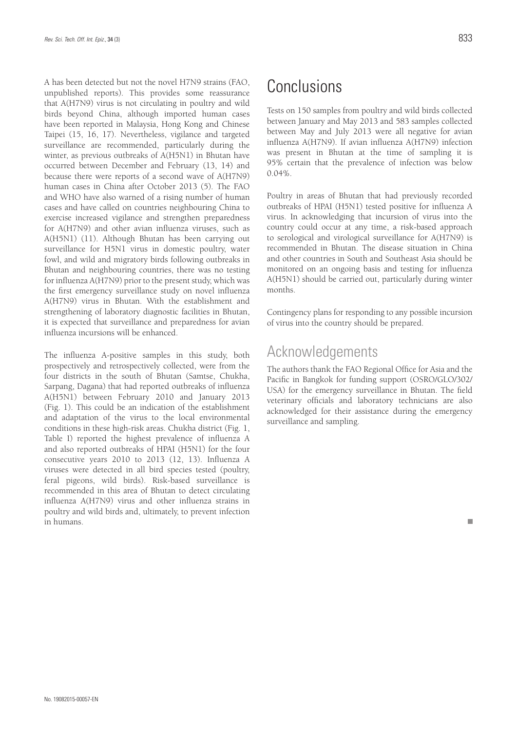A has been detected but not the novel H7N9 strains (FAO, unpublished reports). This provides some reassurance that A(H7N9) virus is not circulating in poultry and wild birds beyond China, although imported human cases have been reported in Malaysia, Hong Kong and Chinese Taipei (15, 16, 17). Nevertheless, vigilance and targeted surveillance are recommended, particularly during the winter, as previous outbreaks of A(H5N1) in Bhutan have occurred between December and February (13, 14) and because there were reports of a second wave of A(H7N9) human cases in China after October 2013 (5). The FAO and WHO have also warned of a rising number of human cases and have called on countries neighbouring China to exercise increased vigilance and strengthen preparedness for A(H7N9) and other avian influenza viruses, such as A(H5N1) (11). Although Bhutan has been carrying out surveillance for H5N1 virus in domestic poultry, water fowl, and wild and migratory birds following outbreaks in Bhutan and neighbouring countries, there was no testing for influenza A(H7N9) prior to the present study, which was the first emergency surveillance study on novel influenza A(H7N9) virus in Bhutan. With the establishment and strengthening of laboratory diagnostic facilities in Bhutan, it is expected that surveillance and preparedness for avian influenza incursions will be enhanced.

The influenza A-positive samples in this study, both prospectively and retrospectively collected, were from the four districts in the south of Bhutan (Samtse, Chukha, Sarpang, Dagana) that had reported outbreaks of influenza A(H5N1) between February 2010 and January 2013 (Fig. 1). This could be an indication of the establishment and adaptation of the virus to the local environmental conditions in these high-risk areas. Chukha district (Fig. 1, Table I) reported the highest prevalence of influenza A and also reported outbreaks of HPAI (H5N1) for the four consecutive years 2010 to 2013 (12, 13). Influenza A viruses were detected in all bird species tested (poultry, feral pigeons, wild birds). Risk-based surveillance is recommended in this area of Bhutan to detect circulating influenza A(H7N9) virus and other influenza strains in poultry and wild birds and, ultimately, to prevent infection in humans.

# Conclusions

Tests on 150 samples from poultry and wild birds collected between January and May 2013 and 583 samples collected between May and July 2013 were all negative for avian influenza A(H7N9). If avian influenza A(H7N9) infection was present in Bhutan at the time of sampling it is 95% certain that the prevalence of infection was below  $0.04\%$ 

Poultry in areas of Bhutan that had previously recorded outbreaks of HPAI (H5N1) tested positive for influenza A virus. In acknowledging that incursion of virus into the country could occur at any time, a risk-based approach to serological and virological surveillance for A(H7N9) is recommended in Bhutan. The disease situation in China and other countries in South and Southeast Asia should be monitored on an ongoing basis and testing for influenza A(H5N1) should be carried out, particularly during winter months.

Contingency plans for responding to any possible incursion of virus into the country should be prepared.

### Acknowledgements

The authors thank the FAO Regional Office for Asia and the Pacific in Bangkok for funding support (OSRO/GLO/302/ USA) for the emergency surveillance in Bhutan. The field veterinary officials and laboratory technicians are also acknowledged for their assistance during the emergency surveillance and sampling.

п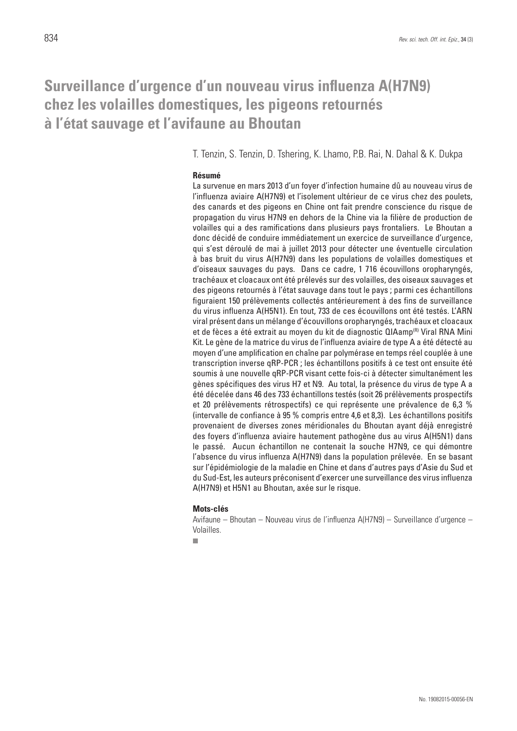## **Surveillance d'urgence d'un nouveau virus influenza A(H7N9) chez les volailles domestiques, les pigeons retournés à l'état sauvage et l'avifaune au Bhoutan**

T. Tenzin, S. Tenzin, D. Tshering, K. Lhamo, P.B. Rai, N. Dahal & K. Dukpa

### **Résumé**

La survenue en mars 2013 d'un foyer d'infection humaine dû au nouveau virus de l'influenza aviaire A(H7N9) et l'isolement ultérieur de ce virus chez des poulets, des canards et des pigeons en Chine ont fait prendre conscience du risque de propagation du virus H7N9 en dehors de la Chine via la filière de production de volailles qui a des ramifications dans plusieurs pays frontaliers. Le Bhoutan a donc décidé de conduire immédiatement un exercice de surveillance d'urgence, qui s'est déroulé de mai à juillet 2013 pour détecter une éventuelle circulation à bas bruit du virus A(H7N9) dans les populations de volailles domestiques et d'oiseaux sauvages du pays. Dans ce cadre, 1 716 écouvillons oropharyngés, trachéaux et cloacaux ont été prélevés sur des volailles, des oiseaux sauvages et des pigeons retournés à l'état sauvage dans tout le pays ; parmi ces échantillons figuraient 150 prélèvements collectés antérieurement à des fins de surveillance du virus influenza A(H5N1). En tout, 733 de ces écouvillons ont été testés. L'ARN viral présent dans un mélange d'écouvillons oropharyngés, trachéaux et cloacaux et de fèces a été extrait au moyen du kit de diagnostic QIAamp<sup>(R)</sup> Viral RNA Mini Kit. Le gène de la matrice du virus de l'influenza aviaire de type A a été détecté au moyen d'une amplification en chaîne par polymérase en temps réel couplée à une transcription inverse qRP-PCR ; les échantillons positifs à ce test ont ensuite été soumis à une nouvelle qRP-PCR visant cette fois-ci à détecter simultanément les gènes spécifiques des virus H7 et N9. Au total, la présence du virus de type A a été décelée dans 46 des 733 échantillons testés (soit 26 prélèvements prospectifs et 20 prélèvements rétrospectifs) ce qui représente une prévalence de 6,3 % (intervalle de confiance à 95 % compris entre 4,6 et 8,3). Les échantillons positifs provenaient de diverses zones méridionales du Bhoutan ayant déjà enregistré des foyers d'influenza aviaire hautement pathogène dus au virus A(H5N1) dans le passé. Aucun échantillon ne contenait la souche H7N9, ce qui démontre l'absence du virus influenza A(H7N9) dans la population prélevée. En se basant sur l'épidémiologie de la maladie en Chine et dans d'autres pays d'Asie du Sud et du Sud-Est, les auteurs préconisent d'exercer une surveillance des virus influenza A(H7N9) et H5N1 au Bhoutan, axée sur le risque.

#### **Mots-clés**

Avifaune – Bhoutan – Nouveau virus de l'influenza A(H7N9) – Surveillance d'urgence – Volailles.

 $\mathbf{r}$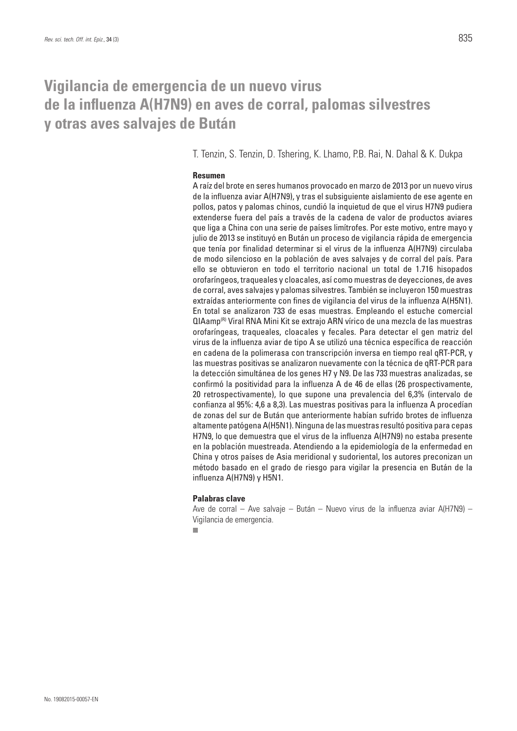# **Vigilancia de emergencia de un nuevo virus de la influenza A(H7N9) en aves de corral, palomas silvestres y otras aves salvajes de Bután**

T. Tenzin, S. Tenzin, D. Tshering, K. Lhamo, P.B. Rai, N. Dahal & K. Dukpa

### **Resumen**

A raíz del brote en seres humanos provocado en marzo de 2013 por un nuevo virus de la influenza aviar A(H7N9), y tras el subsiguiente aislamiento de ese agente en pollos, patos y palomas chinos, cundió la inquietud de que el virus H7N9 pudiera extenderse fuera del país a través de la cadena de valor de productos aviares que liga a China con una serie de países limítrofes. Por este motivo, entre mayo y julio de 2013 se instituyó en Bután un proceso de vigilancia rápida de emergencia que tenía por finalidad determinar si el virus de la influenza A(H7N9) circulaba de modo silencioso en la población de aves salvajes y de corral del país. Para ello se obtuvieron en todo el territorio nacional un total de 1.716 hisopados orofaríngeos, traqueales y cloacales, así como muestras de deyecciones, de aves de corral, aves salvajes y palomas silvestres. También se incluyeron 150 muestras extraídas anteriormente con fines de vigilancia del virus de la influenza A(H5N1). En total se analizaron 733 de esas muestras. Empleando el estuche comercial QIAamp(R) Viral RNA Mini Kit se extrajo ARN vírico de una mezcla de las muestras orofaríngeas, traqueales, cloacales y fecales. Para detectar el gen matriz del virus de la influenza aviar de tipo A se utilizó una técnica específica de reacción en cadena de la polimerasa con transcripción inversa en tiempo real qRT-PCR, y las muestras positivas se analizaron nuevamente con la técnica de qRT-PCR para la detección simultánea de los genes H7 y N9. De las 733 muestras analizadas, se confirmó la positividad para la influenza A de 46 de ellas (26 prospectivamente, 20 retrospectivamente), lo que supone una prevalencia del 6,3% (intervalo de confianza al 95%: 4,6 a 8,3). Las muestras positivas para la influenza A procedían de zonas del sur de Bután que anteriormente habían sufrido brotes de influenza altamente patógena A(H5N1). Ninguna de las muestras resultó positiva para cepas H7N9, lo que demuestra que el virus de la influenza A(H7N9) no estaba presente en la población muestreada. Atendiendo a la epidemiología de la enfermedad en China y otros países de Asia meridional y sudoriental, los autores preconizan un método basado en el grado de riesgo para vigilar la presencia en Bután de la influenza A(H7N9) y H5N1.

### **Palabras clave**

Ave de corral – Ave salvaje – Bután – Nuevo virus de la influenza aviar A(H7N9) – Vigilancia de emergencia.

ш